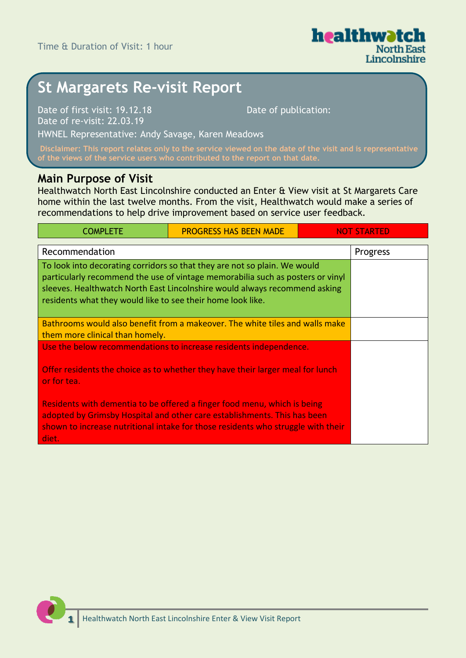

# **St Margarets Re-visit Report**

Date of first visit: 19.12.18 Date of re-visit: 22.03.19

Date of publication:

HWNEL Representative: Andy Savage, Karen Meadows

**Disclaimer: This report relates only to the service viewed on the date of the visit and is representative** 

#### **Main Purpose of Visit**

Healthwatch North East Lincolnshire conducted an Enter & View visit at St Margarets Care home within the last twelve months. From the visit, Healthwatch would make a series of recommendations to help drive improvement based on service user feedback.

| <b>COMPLETE</b>                                                                                                                                                                                                                                                                                          | <b>PROGRESS HAS BEEN MADE</b> | <b>NOT STARTED</b> |
|----------------------------------------------------------------------------------------------------------------------------------------------------------------------------------------------------------------------------------------------------------------------------------------------------------|-------------------------------|--------------------|
| Recommendation                                                                                                                                                                                                                                                                                           | Progress                      |                    |
| To look into decorating corridors so that they are not so plain. We would<br>particularly recommend the use of vintage memorabilia such as posters or vinyl<br>sleeves. Healthwatch North East Lincolnshire would always recommend asking<br>residents what they would like to see their home look like. |                               |                    |
| Bathrooms would also benefit from a makeover. The white tiles and walls make<br>them more clinical than homely.                                                                                                                                                                                          |                               |                    |
| Use the below recommendations to increase residents independence.                                                                                                                                                                                                                                        |                               |                    |
| Offer residents the choice as to whether they have their larger meal for lunch<br>or for tea.                                                                                                                                                                                                            |                               |                    |
| Residents with dementia to be offered a finger food menu, which is being<br>adopted by Grimsby Hospital and other care establishments. This has been<br>shown to increase nutritional intake for those residents who struggle with their<br>diet.                                                        |                               |                    |